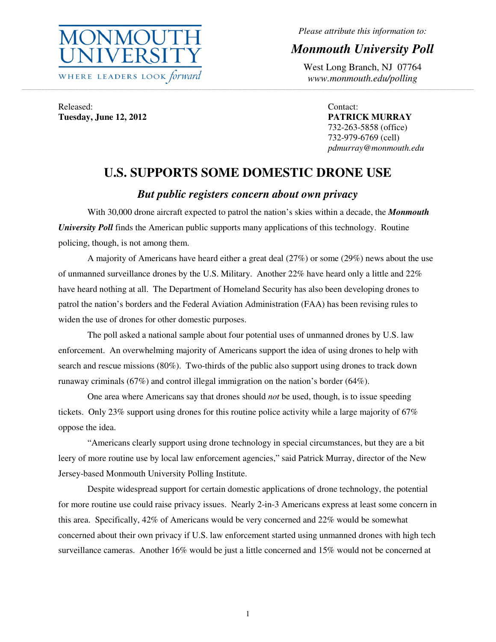

*Please attribute this information to:* 

*Monmouth University Poll* 

West Long Branch, NJ 07764 *www.monmouth.edu/polling* 

Released: **Tuesday, June 12, 2012**  Contact: **PATRICK MURRAY**  732-263-5858 (office) 732-979-6769 (cell) *pdmurray@monmouth.edu* 

# **U.S. SUPPORTS SOME DOMESTIC DRONE USE**

,一个人的人都是不是,我们的人都是不是,我们的人都是不是,我们的人都是不是,我们的人都是不是,我们的人都是不是,我们的人都是不是,我们的人都是不是,我们的人都是不

# *But public registers concern about own privacy*

With 30,000 drone aircraft expected to patrol the nation's skies within a decade, the *Monmouth University Poll* finds the American public supports many applications of this technology. Routine policing, though, is not among them.

 A majority of Americans have heard either a great deal (27%) or some (29%) news about the use of unmanned surveillance drones by the U.S. Military. Another 22% have heard only a little and 22% have heard nothing at all. The Department of Homeland Security has also been developing drones to patrol the nation's borders and the Federal Aviation Administration (FAA) has been revising rules to widen the use of drones for other domestic purposes.

 The poll asked a national sample about four potential uses of unmanned drones by U.S. law enforcement. An overwhelming majority of Americans support the idea of using drones to help with search and rescue missions (80%). Two-thirds of the public also support using drones to track down runaway criminals (67%) and control illegal immigration on the nation's border (64%).

 One area where Americans say that drones should *not* be used, though, is to issue speeding tickets. Only 23% support using drones for this routine police activity while a large majority of 67% oppose the idea.

 "Americans clearly support using drone technology in special circumstances, but they are a bit leery of more routine use by local law enforcement agencies," said Patrick Murray, director of the New Jersey-based Monmouth University Polling Institute.

 Despite widespread support for certain domestic applications of drone technology, the potential for more routine use could raise privacy issues. Nearly 2-in-3 Americans express at least some concern in this area. Specifically, 42% of Americans would be very concerned and 22% would be somewhat concerned about their own privacy if U.S. law enforcement started using unmanned drones with high tech surveillance cameras. Another 16% would be just a little concerned and 15% would not be concerned at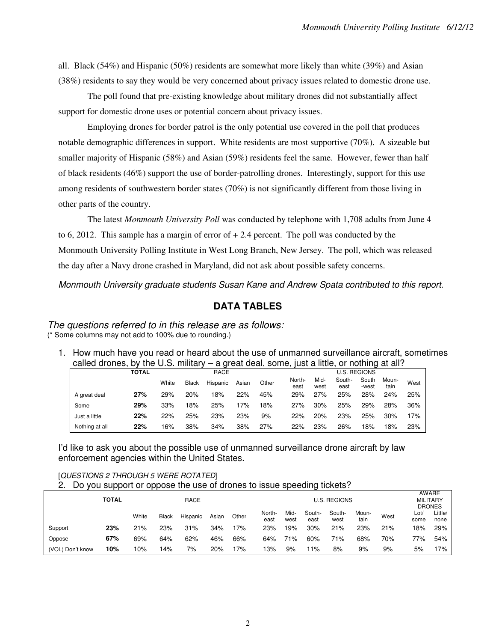all. Black (54%) and Hispanic (50%) residents are somewhat more likely than white (39%) and Asian (38%) residents to say they would be very concerned about privacy issues related to domestic drone use.

 The poll found that pre-existing knowledge about military drones did not substantially affect support for domestic drone uses or potential concern about privacy issues.

 Employing drones for border patrol is the only potential use covered in the poll that produces notable demographic differences in support. White residents are most supportive (70%). A sizeable but smaller majority of Hispanic (58%) and Asian (59%) residents feel the same. However, fewer than half of black residents (46%) support the use of border-patrolling drones. Interestingly, support for this use among residents of southwestern border states (70%) is not significantly different from those living in other parts of the country.

The latest *Monmouth University Poll* was conducted by telephone with 1,708 adults from June 4 to 6, 2012. This sample has a margin of error of  $+2.4$  percent. The poll was conducted by the Monmouth University Polling Institute in West Long Branch, New Jersey. The poll, which was released the day after a Navy drone crashed in Maryland, did not ask about possible safety concerns.

Monmouth University graduate students Susan Kane and Andrew Spata contributed to this report.

# **DATA TABLES**

The questions referred to in this release are as follows: (\* Some columns may not add to 100% due to rounding.)

1. How much have you read or heard about the use of unmanned surveillance aircraft, sometimes called drones, by the U.S. military – a great deal, some, just a little, or nothing at all?

|                | TOTAL |       |              | RACE     |       |       |                |              | <b>U.S. REGIONS</b> |                |               |      |
|----------------|-------|-------|--------------|----------|-------|-------|----------------|--------------|---------------------|----------------|---------------|------|
|                |       | White | <b>Black</b> | Hispanic | Asian | Other | North-<br>east | Mid-<br>west | South-<br>east      | South<br>-west | Moun-<br>tain | West |
| A great deal   | 27%   | 29%   | 20%          | 18%      | 22%   | 45%   | 29%            | 27%          | 25%                 | 28%            | 24%           | 25%  |
| Some           | 29%   | 33%   | 8%           | 25%      | 17%   | 18%   | 27%            | 30%          | 25%                 | 29%            | 28%           | 36%  |
| Just a little  | 22%   | 22%   | 25%          | 23%      | 23%   | 9%    | 22%            | 20%          | 23%                 | 25%            | 30%           | 17%  |
| Nothing at all | 22%   | 6% ا  | 38%          | 34%      | 38%   | 27%   | 22%            | 23%          | 26%                 | 18%            | 18%           | 23%  |

I'd like to ask you about the possible use of unmanned surveillance drone aircraft by law enforcement agencies within the United States.

[QUESTIONS 2 THROUGH 5 WERE ROTATED]

|  |  |  | Do you support or oppose the use of drones to issue speeding tickets? |
|--|--|--|-----------------------------------------------------------------------|
|  |  |  |                                                                       |

|                  | <b>TOTAL</b><br>RACE |       |              |          |       |       |                | AWARE<br><b>MILITARY</b><br><b>DRONES</b> |                |                |               |      |              |                 |
|------------------|----------------------|-------|--------------|----------|-------|-------|----------------|-------------------------------------------|----------------|----------------|---------------|------|--------------|-----------------|
|                  |                      | White | <b>Black</b> | Hispanic | Asian | Other | North-<br>east | Mid-<br>west                              | South-<br>east | South-<br>west | Moun-<br>tain | West | Lot/<br>some | Little/<br>none |
| Support          | 23%                  | 21%   | 23%          | 31%      | 34%   | 17%   | 23%            | 19%                                       | 30%            | 21%            | 23%           | 21%  | 18%          | 29%             |
| Oppose           | 67%                  | 69%   | 64%          | 62%      | 46%   | 66%   | 64%            | 71%                                       | 60%            | 71%            | 68%           | 70%  | 77%          | 54%             |
| (VOL) Don't know | 10%                  | 10%   | 4%           | 7%       | 20%   | 17%   | '3%            | 9%                                        | ำ%             | 8%             | 9%            | 9%   | 5%           | 17%             |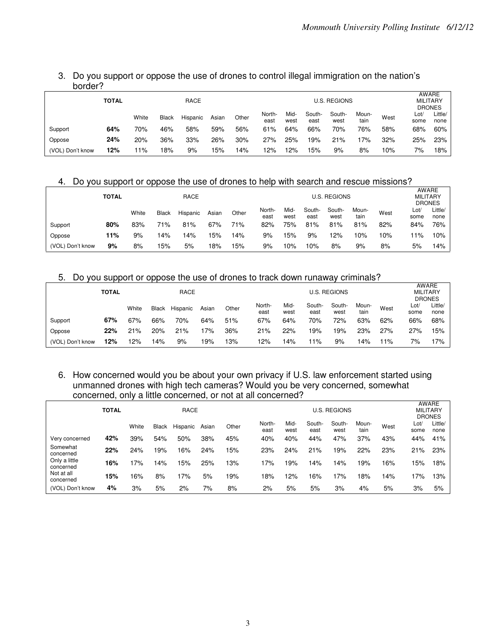# 3. Do you support or oppose the use of drones to control illegal immigration on the nation's border?

|                  | TOTAL |       |       | RACE     |       |       |                |              |                | <b>U.S. REGIONS</b> |               |      | <b>MILITARY</b><br><b>DRONES</b> | AWARE           |
|------------------|-------|-------|-------|----------|-------|-------|----------------|--------------|----------------|---------------------|---------------|------|----------------------------------|-----------------|
|                  |       | White | Black | Hispanic | Asian | Other | North-<br>east | Mid-<br>west | South-<br>east | South-<br>west      | Moun-<br>tain | West | Lot/<br>some                     | Little/<br>none |
| Support          | 64%   | 70%   | 46%   | 58%      | 59%   | 56%   | 61%            | 64%          | 66%            | 70%                 | 76%           | 58%  | 68%                              | 60%             |
| Oppose           | 24%   | 20%   | 36%   | 33%      | 26%   | 30%   | 27%            | 25%          | 19%            | 21%                 | 7%            | 32%  | 25%                              | 23%             |
| (VOL) Don't know | 12%   | 11%   | 18%   | 9%       | 15%   | 14%   | 12%            | 12%          | 15%            | 9%                  | 8%            | 10%  | 7%                               | 18%             |

### 4. Do you support or oppose the use of drones to help with search and rescue missions?

|                  | TOTAL |       |              | AWARE<br><b>MILITARY</b><br><b>DRONES</b> |       |       |                |              |                |                |               |      |             |                 |
|------------------|-------|-------|--------------|-------------------------------------------|-------|-------|----------------|--------------|----------------|----------------|---------------|------|-------------|-----------------|
|                  |       | White | <b>Black</b> | Hispanic                                  | Asian | Other | North-<br>east | Mid-<br>west | South-<br>east | South-<br>west | Moun-<br>tain | West | Lot<br>some | Little/<br>none |
| Support          | 80%   | 83%   | 71%          | 81%                                       | 67%   | 71%   | 82%            | 75%          | 81%            | 81%            | 81%           | 82%  | 84%         | 76%             |
| Oppose           | 11%   | 9%    | 14%          | 14%                                       | 5%    | 14%   | 9%             | 15%          | 9%             | 12%            | 10%           | 10%  | 11%         | 10%             |
| (VOL) Don't know | 9%    | 8%    | 15%          | 5%                                        | 18%   | 15%   | 9%             | 10%          | 10%            | 8%             | 9%            | 8%   | 5%          | 14%             |

### 5. Do you support or oppose the use of drones to track down runaway criminals?

|                  |              |       |              |          |       |       |               |                 | AWARE  |        |       |      |      |         |  |
|------------------|--------------|-------|--------------|----------|-------|-------|---------------|-----------------|--------|--------|-------|------|------|---------|--|
|                  | <b>TOTAL</b> |       |              | RACE     |       |       |               | <b>MILITARY</b> |        |        |       |      |      |         |  |
|                  |              |       |              |          |       |       | <b>DRONES</b> |                 |        |        |       |      |      |         |  |
|                  |              | White | <b>Black</b> | Hispanic | Asian | Other | North-        | Mid-            | South- | South- | Moun- | West | Lot/ | Little/ |  |
|                  |              |       |              |          |       |       | east          | west            | east   | west   | tain  |      | some | none    |  |
| Support          | 67%          | 67%   | 66%          | 70%      | 64%   | 51%   | 67%           | 64%             | 70%    | 72%    | 63%   | 62%  | 66%  | 68%     |  |
| Oppose           | 22%          | 21%   | 20%          | 21%      | 17%   | 36%   | 21%           | 22%             | 19%    | 19%    | 23%   | 27%  | 27%  | 15%     |  |
| (VOL) Don't know | 12%          | 12%   | 14%          | 9%       | 19%   | 13%   | 12%           | 4% ا            | 11%    | 9%     | 14%   | 11%  | 7%   | 17%     |  |

#### 6. How concerned would you be about your own privacy if U.S. law enforcement started using unmanned drones with high tech cameras? Would you be very concerned, somewhat concerned, only a little concerned, or not at all concerned?

|                            | <b>TOTAL</b> |       |              | <b>RACE</b> |       |       |                | U.S. REGIONS |                |                |               |      |              |                                  |
|----------------------------|--------------|-------|--------------|-------------|-------|-------|----------------|--------------|----------------|----------------|---------------|------|--------------|----------------------------------|
|                            |              | White | <b>Black</b> | Hispanic    | Asian | Other | North-<br>east | Mid-<br>west | South-<br>east | South-<br>west | Moun-<br>tain | West | Lot/<br>some | <b>DRONES</b><br>Little/<br>none |
| Very concerned             | 42%          | 39%   | 54%          | 50%         | 38%   | 45%   | 40%            | 40%          | 44%            | 47%            | 37%           | 43%  | 44%          | 41%                              |
| Somewhat<br>concerned      | 22%          | 24%   | 19%          | 16%         | 24%   | 15%   | 23%            | 24%          | 21%            | 19%            | 22%           | 23%  | 21%          | 23%                              |
| Only a little<br>concerned | 16%          | 17%   | 14%          | 15%         | 25%   | 13%   | 17%            | 19%          | 14%            | 14%            | 19%           | 16%  | 15%          | 18%                              |
| Not at all<br>concerned    | 15%          | 16%   | 8%           | 17%         | 5%    | 19%   | 18%            | 12%          | 16%            | 17%            | 18%           | 14%  | 17%          | 13%                              |
| (VOL) Don't know           | 4%           | 3%    | 5%           | 2%          | 7%    | 8%    | 2%             | 5%           | 5%             | 3%             | 4%            | 5%   | 3%           | 5%                               |